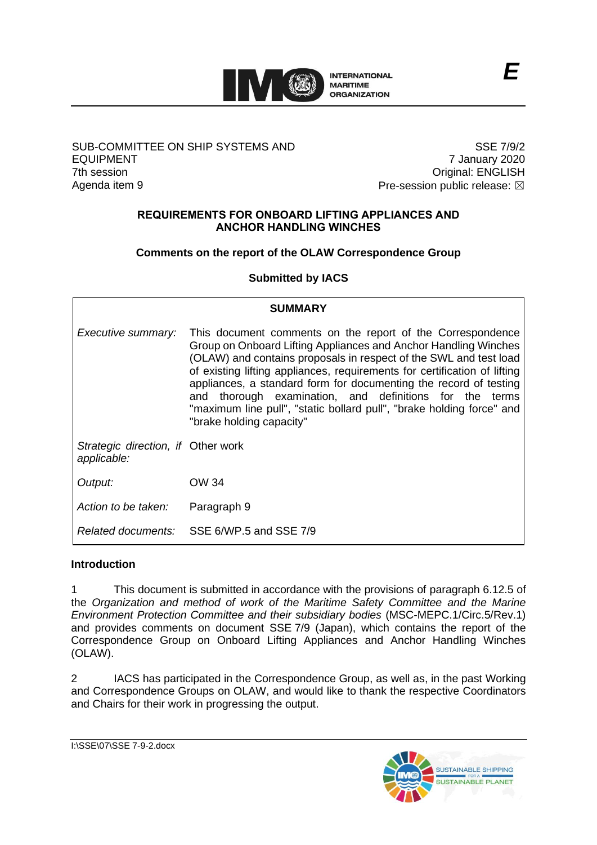

#### SUB-COMMITTEE ON SHIP SYSTEMS AND EQUIPMENT 7th session Agenda item 9

SSE 7/9/2 7 January 2020 Original: ENGLISH Pre-session public release:  $\boxtimes$ 

#### **REQUIREMENTS FOR ONBOARD LIFTING APPLIANCES AND ANCHOR HANDLING WINCHES**

# **Comments on the report of the OLAW Correspondence Group**

**Submitted by IACS**

| <b>SUMMARY</b>                                    |                                                                                                                                                                                                                                                                                                                                                                                                                                                                                                                      |  |  |  |  |
|---------------------------------------------------|----------------------------------------------------------------------------------------------------------------------------------------------------------------------------------------------------------------------------------------------------------------------------------------------------------------------------------------------------------------------------------------------------------------------------------------------------------------------------------------------------------------------|--|--|--|--|
| Executive summary:                                | This document comments on the report of the Correspondence<br>Group on Onboard Lifting Appliances and Anchor Handling Winches<br>(OLAW) and contains proposals in respect of the SWL and test load<br>of existing lifting appliances, requirements for certification of lifting<br>appliances, a standard form for documenting the record of testing<br>and thorough examination, and definitions for the terms<br>"maximum line pull", "static bollard pull", "brake holding force" and<br>"brake holding capacity" |  |  |  |  |
| Strategic direction, if Other work<br>applicable: |                                                                                                                                                                                                                                                                                                                                                                                                                                                                                                                      |  |  |  |  |
| Output:                                           | OW 34                                                                                                                                                                                                                                                                                                                                                                                                                                                                                                                |  |  |  |  |
| Action to be taken:                               | Paragraph 9                                                                                                                                                                                                                                                                                                                                                                                                                                                                                                          |  |  |  |  |
|                                                   | Related documents: SSE 6/WP.5 and SSE 7/9                                                                                                                                                                                                                                                                                                                                                                                                                                                                            |  |  |  |  |

## **Introduction**

1 This document is submitted in accordance with the provisions of paragraph 6.12.5 of the *Organization and method of work of the Maritime Safety Committee and the Marine Environment Protection Committee and their subsidiary bodies* (MSC-MEPC.1/Circ.5/Rev.1) and provides comments on document SSE 7/9 (Japan), which contains the report of the Correspondence Group on Onboard Lifting Appliances and Anchor Handling Winches (OLAW).

2 IACS has participated in the Correspondence Group, as well as, in the past Working and Correspondence Groups on OLAW, and would like to thank the respective Coordinators and Chairs for their work in progressing the output.

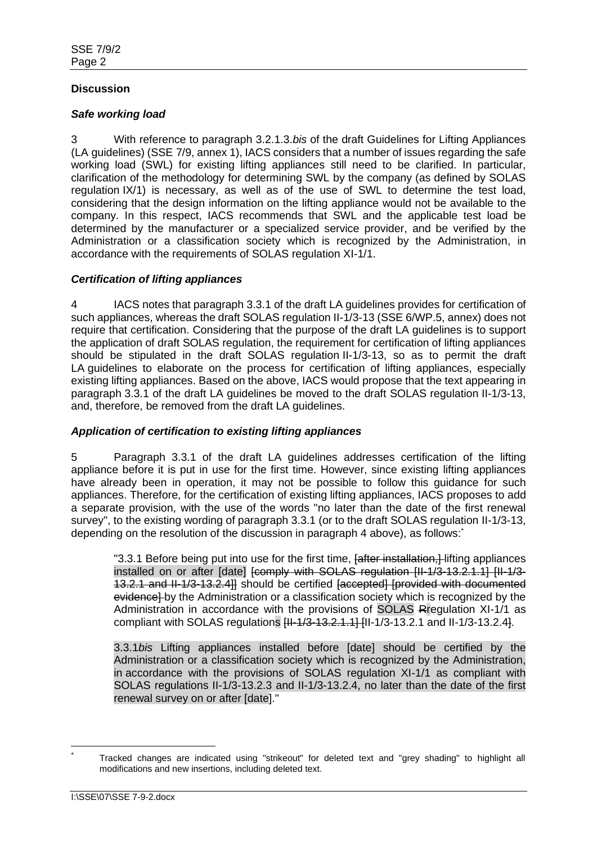# **Discussion**

## *Safe working load*

3 With reference to paragraph 3.2.1.3.*bis* of the draft Guidelines for Lifting Appliances (LA guidelines) (SSE 7/9, annex 1), IACS considers that a number of issues regarding the safe working load (SWL) for existing lifting appliances still need to be clarified. In particular, clarification of the methodology for determining SWL by the company (as defined by SOLAS regulation IX/1) is necessary, as well as of the use of SWL to determine the test load, considering that the design information on the lifting appliance would not be available to the company. In this respect, IACS recommends that SWL and the applicable test load be determined by the manufacturer or a specialized service provider, and be verified by the Administration or a classification society which is recognized by the Administration, in accordance with the requirements of SOLAS regulation XI-1/1.

# *Certification of lifting appliances*

4 IACS notes that paragraph 3.3.1 of the draft LA guidelines provides for certification of such appliances, whereas the draft SOLAS regulation II-1/3-13 (SSE 6/WP.5, annex) does not require that certification. Considering that the purpose of the draft LA guidelines is to support the application of draft SOLAS regulation, the requirement for certification of lifting appliances should be stipulated in the draft SOLAS regulation II-1/3-13, so as to permit the draft LA quidelines to elaborate on the process for certification of lifting appliances, especially existing lifting appliances. Based on the above, IACS would propose that the text appearing in paragraph 3.3.1 of the draft LA guidelines be moved to the draft SOLAS regulation II-1/3-13, and, therefore, be removed from the draft LA guidelines.

## *Application of certification to existing lifting appliances*

5 Paragraph 3.3.1 of the draft LA guidelines addresses certification of the lifting appliance before it is put in use for the first time. However, since existing lifting appliances have already been in operation, it may not be possible to follow this guidance for such appliances. Therefore, for the certification of existing lifting appliances, IACS proposes to add a separate provision, with the use of the words "no later than the date of the first renewal survey", to the existing wording of paragraph 3.3.1 (or to the draft SOLAS regulation II-1/3-13, depending on the resolution of the discussion in paragraph 4 above), as follows:

"3.3.1 Before being put into use for the first time, *[after installation*, *[after installation]* installed on or after [date] [comply with SOLAS regulation [II-1/3-13.2.1.1] [II-1/3-13.2.1 and II-1/3-13.2.4]] should be certified [accepted] [provided with documented evidence] by the Administration or a classification society which is recognized by the Administration in accordance with the provisions of SOLAS Rregulation XI-1/1 as compliant with SOLAS regulations  $H=4/3-13.2.1$ ,  $H=1/3-13.2.1$  and  $H=1/3-13.2.41$ .

3.3.1*bis* Lifting appliances installed before [date] should be certified by the Administration or a classification society which is recognized by the Administration, in accordance with the provisions of SOLAS regulation XI-1/1 as compliant with SOLAS regulations II-1/3-13.2.3 and II-1/3-13.2.4, no later than the date of the first renewal survey on or after [date]."

Tracked changes are indicated using "strikeout" for deleted text and "grey shading" to highlight all modifications and new insertions, including deleted text.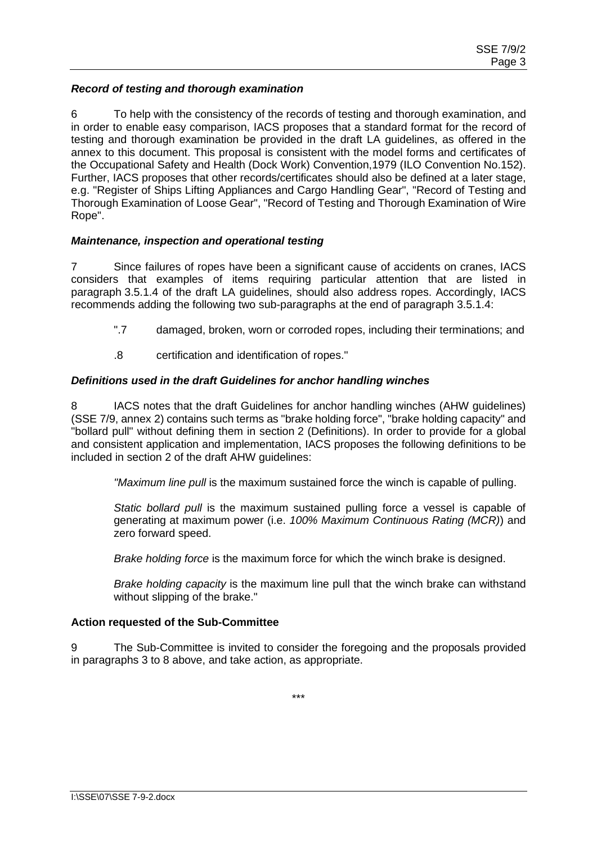## *Record of testing and thorough examination*

6 To help with the consistency of the records of testing and thorough examination, and in order to enable easy comparison, IACS proposes that a standard format for the record of testing and thorough examination be provided in the draft LA guidelines, as offered in the annex to this document. This proposal is consistent with the model forms and certificates of the Occupational Safety and Health (Dock Work) Convention,1979 (ILO Convention No.152). Further, IACS proposes that other records/certificates should also be defined at a later stage, e.g. "Register of Ships Lifting Appliances and Cargo Handling Gear", "Record of Testing and Thorough Examination of Loose Gear", "Record of Testing and Thorough Examination of Wire Rope".

## *Maintenance, inspection and operational testing*

7 Since failures of ropes have been a significant cause of accidents on cranes, IACS considers that examples of items requiring particular attention that are listed in paragraph 3.5.1.4 of the draft LA guidelines, should also address ropes. Accordingly, IACS recommends adding the following two sub-paragraphs at the end of paragraph 3.5.1.4:

- ".7 damaged, broken, worn or corroded ropes, including their terminations; and
- .8 certification and identification of ropes."

# *Definitions used in the draft Guidelines for anchor handling winches*

8 IACS notes that the draft Guidelines for anchor handling winches (AHW guidelines) (SSE 7/9, annex 2) contains such terms as "brake holding force", "brake holding capacity" and "bollard pull" without defining them in section 2 (Definitions). In order to provide for a global and consistent application and implementation, IACS proposes the following definitions to be included in section 2 of the draft AHW guidelines:

*"Maximum line pull* is the maximum sustained force the winch is capable of pulling.

*Static bollard pull* is the maximum sustained pulling force a vessel is capable of generating at maximum power (i.e. *100% Maximum Continuous Rating (MCR)*) and zero forward speed.

*Brake holding force* is the maximum force for which the winch brake is designed.

*Brake holding capacity* is the maximum line pull that the winch brake can withstand without slipping of the brake."

## **Action requested of the Sub-Committee**

9 The Sub-Committee is invited to consider the foregoing and the proposals provided in paragraphs 3 to 8 above, and take action, as appropriate.

\*\*\*